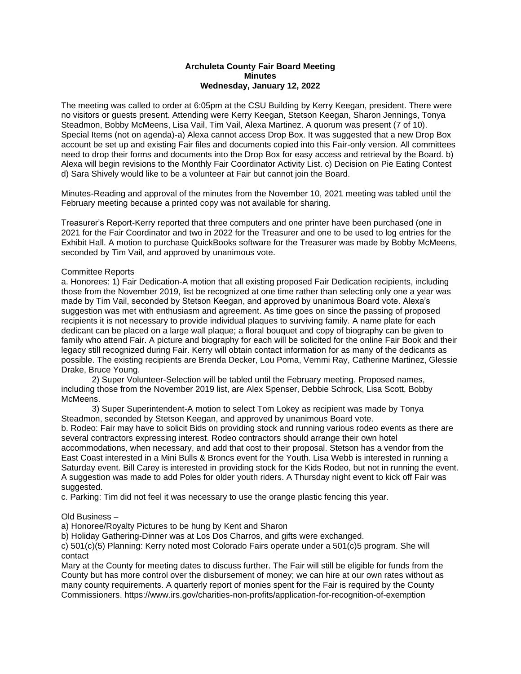## **Archuleta County Fair Board Meeting Minutes Wednesday, January 12, 2022**

The meeting was called to order at 6:05pm at the CSU Building by Kerry Keegan, president. There were no visitors or guests present. Attending were Kerry Keegan, Stetson Keegan, Sharon Jennings, Tonya Steadmon, Bobby McMeens, Lisa Vail, Tim Vail, Alexa Martinez. A quorum was present (7 of 10). Special Items (not on agenda)-a) Alexa cannot access Drop Box. It was suggested that a new Drop Box account be set up and existing Fair files and documents copied into this Fair-only version. All committees need to drop their forms and documents into the Drop Box for easy access and retrieval by the Board. b) Alexa will begin revisions to the Monthly Fair Coordinator Activity List. c) Decision on Pie Eating Contest d) Sara Shively would like to be a volunteer at Fair but cannot join the Board.

Minutes-Reading and approval of the minutes from the November 10, 2021 meeting was tabled until the February meeting because a printed copy was not available for sharing.

Treasurer's Report-Kerry reported that three computers and one printer have been purchased (one in 2021 for the Fair Coordinator and two in 2022 for the Treasurer and one to be used to log entries for the Exhibit Hall. A motion to purchase QuickBooks software for the Treasurer was made by Bobby McMeens, seconded by Tim Vail, and approved by unanimous vote.

## Committee Reports

a. Honorees: 1) Fair Dedication-A motion that all existing proposed Fair Dedication recipients, including those from the November 2019, list be recognized at one time rather than selecting only one a year was made by Tim Vail, seconded by Stetson Keegan, and approved by unanimous Board vote. Alexa's suggestion was met with enthusiasm and agreement. As time goes on since the passing of proposed recipients it is not necessary to provide individual plaques to surviving family. A name plate for each dedicant can be placed on a large wall plaque; a floral bouquet and copy of biography can be given to family who attend Fair. A picture and biography for each will be solicited for the online Fair Book and their legacy still recognized during Fair. Kerry will obtain contact information for as many of the dedicants as possible. The existing recipients are Brenda Decker, Lou Poma, Vemmi Ray, Catherine Martinez, Glessie Drake, Bruce Young.

2) Super Volunteer-Selection will be tabled until the February meeting. Proposed names, including those from the November 2019 list, are Alex Spenser, Debbie Schrock, Lisa Scott, Bobby McMeens.

3) Super Superintendent-A motion to select Tom Lokey as recipient was made by Tonya Steadmon, seconded by Stetson Keegan, and approved by unanimous Board vote.

b. Rodeo: Fair may have to solicit Bids on providing stock and running various rodeo events as there are several contractors expressing interest. Rodeo contractors should arrange their own hotel accommodations, when necessary, and add that cost to their proposal. Stetson has a vendor from the East Coast interested in a Mini Bulls & Broncs event for the Youth. Lisa Webb is interested in running a Saturday event. Bill Carey is interested in providing stock for the Kids Rodeo, but not in running the event. A suggestion was made to add Poles for older youth riders. A Thursday night event to kick off Fair was suggested.

c. Parking: Tim did not feel it was necessary to use the orange plastic fencing this year.

Old Business –

a) Honoree/Royalty Pictures to be hung by Kent and Sharon

b) Holiday Gathering-Dinner was at Los Dos Charros, and gifts were exchanged.

c) 501(c)(5) Planning: Kerry noted most Colorado Fairs operate under a 501(c)5 program. She will contact

Mary at the County for meeting dates to discuss further. The Fair will still be eligible for funds from the County but has more control over the disbursement of money; we can hire at our own rates without as many county requirements. A quarterly report of monies spent for the Fair is required by the County Commissioners. https://www.irs.gov/charities-non-profits/application-for-recognition-of-exemption